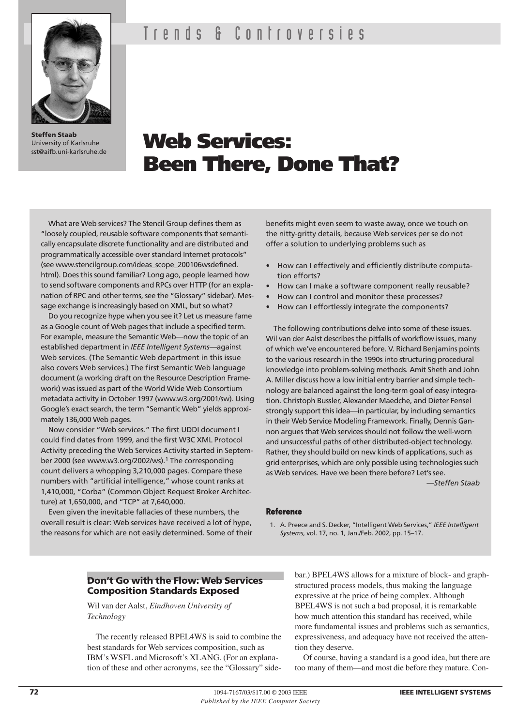

**Steffen Staab** University of Karlsruhe sst@aifb.uni-karlsruhe.de

# Trends & Controversies

# **Web Services: Been There, Done That?**

What are Web services? The Stencil Group defines them as "loosely coupled, reusable software components that semantically encapsulate discrete functionality and are distributed and programmatically accessible over standard Internet protocols" (see www.stencilgroup.com/ideas\_scope\_200106wsdefined. html). Does this sound familiar? Long ago, people learned how to send software components and RPCs over HTTP (for an explanation of RPC and other terms, see the "Glossary" sidebar). Message exchange is increasingly based on XML, but so what?

Do you recognize hype when you see it? Let us measure fame as a Google count of Web pages that include a specified term. For example, measure the Semantic Web—now the topic of an established department in *IEEE Intelligent Systems*—against Web services. (The Semantic Web department in this issue also covers Web services.) The first Semantic Web language document (a working draft on the Resource Description Framework) was issued as part of the World Wide Web Consortium metadata activity in October 1997 (www.w3.org/2001/sw). Using Google's exact search, the term "Semantic Web" yields approximately 136,000 Web pages.

Now consider "Web services." The first UDDI document I could find dates from 1999, and the first W3C XML Protocol Activity preceding the Web Services Activity started in September 2000 (see www.w3.org/2002/ws).<sup>1</sup> The corresponding count delivers a whopping 3,210,000 pages. Compare these numbers with "artificial intelligence," whose count ranks at 1,410,000, "Corba" (Common Object Request Broker Architecture) at 1,650,000, and "TCP" at 7,640,000.

Even given the inevitable fallacies of these numbers, the overall result is clear: Web services have received a lot of hype, the reasons for which are not easily determined. Some of their benefits might even seem to waste away, once we touch on the nitty-gritty details, because Web services per se do not offer a solution to underlying problems such as

- How can I effectively and efficiently distribute computation efforts?
- How can I make a software component really reusable?
- How can I control and monitor these processes?
- How can I effortlessly integrate the components?

The following contributions delve into some of these issues. Wil van der Aalst describes the pitfalls of workflow issues, many of which we've encountered before. V. Richard Benjamins points to the various research in the 1990s into structuring procedural knowledge into problem-solving methods. Amit Sheth and John A. Miller discuss how a low initial entry barrier and simple technology are balanced against the long-term goal of easy integration. Christoph Bussler, Alexander Maedche, and Dieter Fensel strongly support this idea—in particular, by including semantics in their Web Service Modeling Framework. Finally, Dennis Gannon argues that Web services should not follow the well-worn and unsuccessful paths of other distributed-object technology. Rather, they should build on new kinds of applications, such as grid enterprises, which are only possible using technologies such as Web services. Have we been there before? Let's see. *—Steffen Staab*

#### **Reference**

1. A. Preece and S. Decker, "Intelligent Web Services," *IEEE Intelligent Systems*, vol. 17, no. 1, Jan./Feb. 2002, pp. 15–17.

#### **Don't Go with the Flow: Web Services Composition Standards Exposed**

Wil van der Aalst, *Eindhoven University of Technology*

The recently released BPEL4WS is said to combine the best standards for Web services composition, such as IBM's WSFL and Microsoft's XLANG. (For an explanation of these and other acronyms, see the "Glossary" sidebar.) BPEL4WS allows for a mixture of block- and graphstructured process models, thus making the language expressive at the price of being complex. Although BPEL4WS is not such a bad proposal, it is remarkable how much attention this standard has received, while more fundamental issues and problems such as semantics, expressiveness, and adequacy have not received the attention they deserve.

Of course, having a standard is a good idea, but there are too many of them—and most die before they mature. Con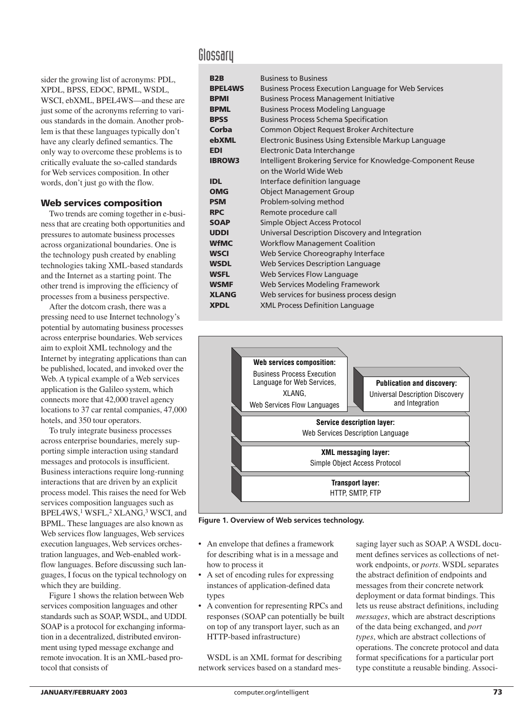sider the growing list of acronyms: PDL, XPDL, BPSS, EDOC, BPML, WSDL, WSCI, ebXML, BPEL4WS—and these are just some of the acronyms referring to various standards in the domain. Another problem is that these languages typically don't have any clearly defined semantics. The only way to overcome these problems is to critically evaluate the so-called standards for Web services composition. In other words, don't just go with the flow.

#### **Web services composition**

Two trends are coming together in e-business that are creating both opportunities and pressures to automate business processes across organizational boundaries. One is the technology push created by enabling technologies taking XML-based standards and the Internet as a starting point. The other trend is improving the efficiency of processes from a business perspective.

After the dotcom crash, there was a pressing need to use Internet technology's potential by automating business processes across enterprise boundaries. Web services aim to exploit XML technology and the Internet by integrating applications than can be published, located, and invoked over the Web. A typical example of a Web services application is the Galileo system, which connects more that 42,000 travel agency locations to 37 car rental companies, 47,000 hotels, and 350 tour operators.

To truly integrate business processes across enterprise boundaries, merely supporting simple interaction using standard messages and protocols is insufficient. Business interactions require long-running interactions that are driven by an explicit process model. This raises the need for Web services composition languages such as BPEL4WS,<sup>1</sup> WSFL,<sup>2</sup> XLANG,<sup>3</sup> WSCI, and BPML. These languages are also known as Web services flow languages, Web services execution languages, Web services orchestration languages, and Web-enabled workflow languages. Before discussing such languages, I focus on the typical technology on which they are building.

Figure 1 shows the relation between Web services composition languages and other standards such as SOAP, WSDL, and UDDI. SOAP is a protocol for exchanging information in a decentralized, distributed environment using typed message exchange and remote invocation. It is an XML-based protocol that consists of

# Glossary

| <b>B2B</b>     | <b>Business to Business</b>                                 |  |  |  |
|----------------|-------------------------------------------------------------|--|--|--|
| <b>BPEL4WS</b> |                                                             |  |  |  |
|                | <b>Business Process Execution Language for Web Services</b> |  |  |  |
| <b>BPMI</b>    | <b>Business Process Management Initiative</b>               |  |  |  |
| <b>RPMI</b>    | <b>Business Process Modeling Language</b>                   |  |  |  |
| <b>BPSS</b>    | <b>Business Process Schema Specification</b>                |  |  |  |
| Corba          | Common Object Request Broker Architecture                   |  |  |  |
| ebXML          | Electronic Business Using Extensible Markup Language        |  |  |  |
| <b>EDI</b>     | Electronic Data Interchange                                 |  |  |  |
| <b>IBROW3</b>  | Intelligent Brokering Service for Knowledge-Component Reuse |  |  |  |
|                | on the World Wide Web                                       |  |  |  |
| <b>IDL</b>     | Interface definition language                               |  |  |  |
| <b>OMG</b>     | <b>Object Management Group</b>                              |  |  |  |
| <b>PSM</b>     | Problem-solving method                                      |  |  |  |
| <b>RPC</b>     | Remote procedure call                                       |  |  |  |
| <b>SOAP</b>    | Simple Object Access Protocol                               |  |  |  |
| <b>UDDI</b>    | Universal Description Discovery and Integration             |  |  |  |
| <b>WfMC</b>    | <b>Workflow Management Coalition</b>                        |  |  |  |
| <b>WSCI</b>    | Web Service Choreography Interface                          |  |  |  |
| <b>WSDL</b>    | Web Services Description Language                           |  |  |  |
| <b>WSFL</b>    | Web Services Flow Language                                  |  |  |  |
| <b>WSMF</b>    | Web Services Modeling Framework                             |  |  |  |
| <b>XLANG</b>   | Web services for business process design                    |  |  |  |
| <b>XPDL</b>    | <b>XML Process Definition Language</b>                      |  |  |  |
|                |                                                             |  |  |  |



**Figure 1. Overview of Web services technology.**

- An envelope that defines a framework for describing what is in a message and how to process it
- A set of encoding rules for expressing instances of application-defined data types
- A convention for representing RPCs and responses (SOAP can potentially be built on top of any transport layer, such as an HTTP-based infrastructure)

WSDL is an XML format for describing network services based on a standard mes-

saging layer such as SOAP. A WSDL document defines services as collections of network endpoints, or *ports*. WSDL separates the abstract definition of endpoints and messages from their concrete network deployment or data format bindings. This lets us reuse abstract definitions, including *messages*, which are abstract descriptions of the data being exchanged, and *port types*, which are abstract collections of operations. The concrete protocol and data format specifications for a particular port type constitute a reusable binding. Associ-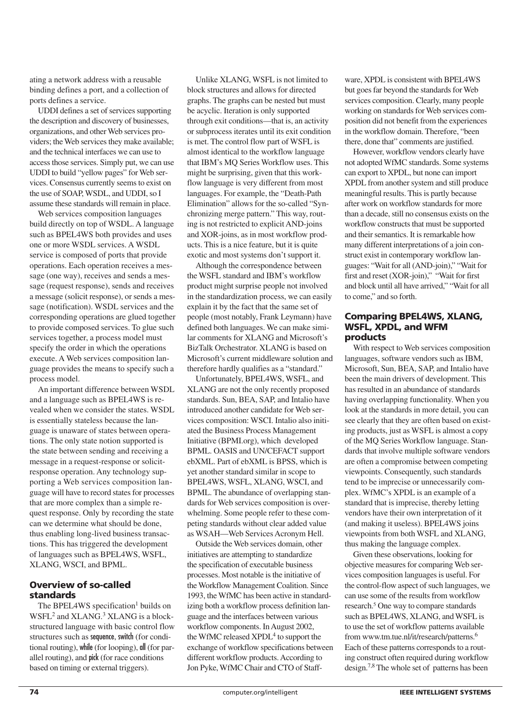ating a network address with a reusable binding defines a port, and a collection of ports defines a service.

UDDI defines a set of services supporting the description and discovery of businesses, organizations, and other Web services providers; the Web services they make available; and the technical interfaces we can use to access those services. Simply put, we can use UDDI to build "yellow pages" for Web services. Consensus currently seems to exist on the use of SOAP, WSDL, and UDDI, so I assume these standards will remain in place.

Web services composition languages build directly on top of WSDL. A language such as BPEL4WS both provides and uses one or more WSDL services. A WSDL service is composed of ports that provide operations. Each operation receives a message (one way), receives and sends a message (request response), sends and receives a message (solicit response), or sends a message (notification). WSDL services and the corresponding operations are glued together to provide composed services. To glue such services together, a process model must specify the order in which the operations execute. A Web services composition language provides the means to specify such a process model.

An important difference between WSDL and a language such as BPEL4WS is revealed when we consider the states. WSDL is essentially stateless because the language is unaware of states between operations. The only state notion supported is the state between sending and receiving a message in a request-response or solicitresponse operation. Any technology supporting a Web services composition language will have to record states for processes that are more complex than a simple request response. Only by recording the state can we determine what should be done, thus enabling long-lived business transactions. This has triggered the development of languages such as BPEL4WS, WSFL, XLANG, WSCI, and BPML.

#### **Overview of so-called standards**

The BPEL4WS specification<sup>1</sup> builds on WSFL<sup>2</sup> and XLANG.<sup>3</sup> XLANG is a blockstructured language with basic control flow structures such as sequence, switch (for conditional routing), while (for looping), all (for parallel routing), and pick (for race conditions based on timing or external triggers).

Unlike XLANG, WSFL is not limited to block structures and allows for directed graphs. The graphs can be nested but must be acyclic. Iteration is only supported through exit conditions—that is, an activity or subprocess iterates until its exit condition is met. The control flow part of WSFL is almost identical to the workflow language that IBM's MQ Series Workflow uses. This might be surprising, given that this workflow language is very different from most languages. For example, the "Death-Path Elimination" allows for the so-called "Synchronizing merge pattern." This way, routing is not restricted to explicit AND-joins and XOR-joins, as in most workflow products. This is a nice feature, but it is quite exotic and most systems don't support it.

Although the correspondence between the WSFL standard and IBM's workflow product might surprise people not involved in the standardization process, we can easily explain it by the fact that the same set of people (most notably, Frank Leymann) have defined both languages. We can make similar comments for XLANG and Microsoft's BizTalk Orchestrator. XLANG is based on Microsoft's current middleware solution and therefore hardly qualifies as a "standard."

Unfortunately, BPEL4WS, WSFL, and XLANG are not the only recently proposed standards. Sun, BEA, SAP, and Intalio have introduced another candidate for Web services composition: WSCI. Intalio also initiated the Business Process Management Initiative (BPMI.org), which developed BPML. OASIS and UN/CEFACT support ebXML. Part of ebXML is BPSS, which is yet another standard similar in scope to BPEL4WS, WSFL, XLANG, WSCI, and BPML. The abundance of overlapping standards for Web services composition is overwhelming. Some people refer to these competing standards without clear added value as WSAH—Web Services Acronym Hell.

Outside the Web services domain, other initiatives are attempting to standardize the specification of executable business processes. Most notable is the initiative of the Workflow Management Coalition. Since 1993, the WfMC has been active in standardizing both a workflow process definition language and the interfaces between various workflow components. In August 2002, the WfMC released XPDL<sup>4</sup> to support the exchange of workflow specifications between different workflow products. According to Jon Pyke, WfMC Chair and CTO of Staffware, XPDL is consistent with BPEL4WS but goes far beyond the standards for Web services composition. Clearly, many people working on standards for Web services composition did not benefit from the experiences in the workflow domain. Therefore, "been there, done that" comments are justified.

However, workflow vendors clearly have not adopted WfMC standards. Some systems can export to XPDL, but none can import XPDL from another system and still produce meaningful results. This is partly because after work on workflow standards for more than a decade, still no consensus exists on the workflow constructs that must be supported and their semantics. It is remarkable how many different interpretations of a join construct exist in contemporary workflow languages: "Wait for all (AND-join)," "Wait for first and reset (XOR-join)," "Wait for first and block until all have arrived," "Wait for all to come," and so forth.

#### **Comparing BPEL4WS, XLANG, WSFL, XPDL, and WFM products**

With respect to Web services composition languages, software vendors such as IBM, Microsoft, Sun, BEA, SAP, and Intalio have been the main drivers of development. This has resulted in an abundance of standards having overlapping functionality. When you look at the standards in more detail, you can see clearly that they are often based on existing products, just as WSFL is almost a copy of the MQ Series Workflow language. Standards that involve multiple software vendors are often a compromise between competing viewpoints. Consequently, such standards tend to be imprecise or unnecessarily complex. WfMC's XPDL is an example of a standard that is imprecise, thereby letting vendors have their own interpretation of it (and making it useless). BPEL4WS joins viewpoints from both WSFL and XLANG, thus making the language complex.

Given these observations, looking for objective measures for comparing Web services composition languages is useful. For the control-flow aspect of such languages, we can use some of the results from workflow research.5 One way to compare standards such as BPEL4WS, XLANG, and WSFL is to use the set of workflow patterns available from www.tm.tue.nl/it/research/patterns.6 Each of these patterns corresponds to a routing construct often required during workflow design.7,8 The whole set of patterns has been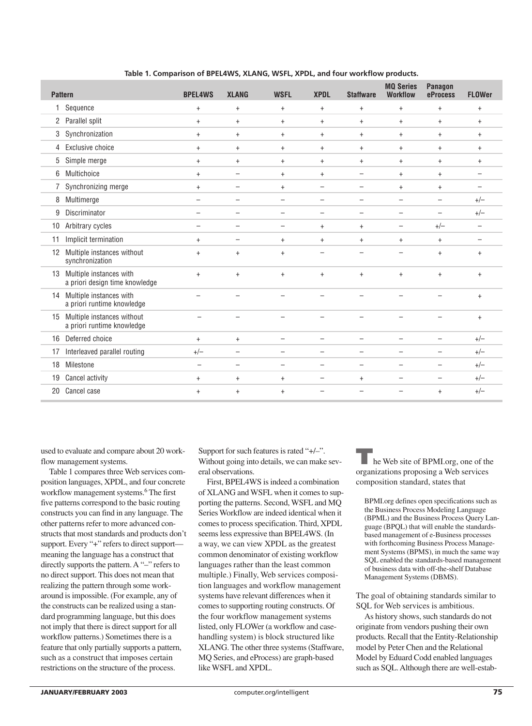|    | <b>Pattern</b>                                               | <b>BPEL4WS</b>           | <b>XLANG</b>             | <b>WSFL</b>              | <b>XPDL</b>                      | <b>Staffware</b>         | <b>MQ Series</b><br><b>Workflow</b> | <b>Panagon</b><br>eProcess | <b>FLOWer</b>                    |
|----|--------------------------------------------------------------|--------------------------|--------------------------|--------------------------|----------------------------------|--------------------------|-------------------------------------|----------------------------|----------------------------------|
| 1. | Sequence                                                     | $+$                      | $+$                      | $+$                      | $+$                              | $+$                      | $+$                                 | $+$                        | $^{+}$                           |
|    | 2 Parallel split                                             | $+$                      | $+$                      | $+$                      | $+$                              | $+$                      | $+$                                 | $\ddot{}$                  | $+$                              |
| 3  | Synchronization                                              | $+$                      | $+$                      | $+$                      | $+$                              | $+$                      | $+$                                 | $+$                        | $+$                              |
|    | 4 Exclusive choice                                           | $+$                      | $+$                      | $+$                      | $+$                              | $+$                      | $+$                                 | $+$                        | $+$                              |
| 5  | Simple merge                                                 | $+$                      | $+$                      | $+$                      | $+$                              | $+$                      | $+$                                 | $\ddot{}$                  | $+$                              |
| 6  | Multichoice                                                  | $+$                      | -                        | $+$                      | $+$                              | -                        | $+$                                 | $\ddot{}$                  | $\qquad \qquad -$                |
|    | 7 Synchronizing merge                                        | $+$                      | $\overline{\phantom{0}}$ | $+$                      | $\overline{\phantom{m}}$         | $\overline{\phantom{0}}$ | $+$                                 | $\ddot{}$                  | $\overline{\phantom{0}}$         |
| 8  | Multimerge                                                   | $\overline{\phantom{0}}$ | $\overline{\phantom{0}}$ | $\overline{\phantom{0}}$ | $\overline{\phantom{0}}$         | $\overline{\phantom{0}}$ | $\overline{\phantom{0}}$            | $\overline{\phantom{0}}$   | $+/-$                            |
| 9  | Discriminator                                                | $\overline{\phantom{0}}$ | $\overline{\phantom{0}}$ | $\overline{\phantom{0}}$ | $\overline{\phantom{0}}$         | $\overline{\phantom{0}}$ | $\overline{\phantom{0}}$            | $\overline{\phantom{0}}$   | $+/-$                            |
| 10 | Arbitrary cycles                                             | $\overline{\phantom{m}}$ | —                        | $\qquad \qquad -$        | $+$                              | $+$                      | $\qquad \qquad -$                   | $+/-$                      | $\overline{\phantom{0}}$         |
| 11 | Implicit termination                                         | $+$                      | $\overline{\phantom{0}}$ | $+$                      | $+$                              | $+$                      | $+$                                 | $+$                        | $\overline{\phantom{0}}$         |
| 12 | Multiple instances without<br>synchronization                | $+$                      | $^{+}$                   | $+$                      | $\overbrace{\phantom{12322111}}$ | $\overline{\phantom{0}}$ | $\qquad \qquad -$                   | $\ddot{}$                  | $\begin{array}{c} + \end{array}$ |
|    | 13 Multiple instances with<br>a priori design time knowledge | $+$                      | $^{+}$                   | $+$                      | $+$                              | $^{+}$                   | $\ddot{}$                           | $+$                        | $+$                              |
| 14 | Multiple instances with<br>a priori runtime knowledge        |                          | -                        | —                        |                                  | -                        | $\overline{\phantom{0}}$            |                            | $+$                              |
| 15 | Multiple instances without<br>a priori runtime knowledge     |                          | -                        | $\overline{\phantom{0}}$ |                                  | -                        |                                     |                            | $+$                              |
| 16 | Deferred choice                                              | $\ddot{}$                | $^{+}$                   | $\qquad \qquad -$        | $\overline{\phantom{m}}$         | $\overline{\phantom{0}}$ | $\qquad \qquad -$                   |                            | $+/-$                            |
| 17 | Interleaved parallel routing                                 | $+/-$                    | $\overline{\phantom{0}}$ | $\qquad \qquad -$        | $\overline{\phantom{m}}$         | —                        | $\overline{\phantom{0}}$            | $\overline{\phantom{m}}$   | $+/-$                            |
| 18 | Milestone                                                    | $\qquad \qquad -$        | -                        | $\qquad \qquad -$        | $\overline{\phantom{m}}$         | -                        | $\qquad \qquad -$                   | $\overline{\phantom{m}}$   | $+/-$                            |
| 19 | Cancel activity                                              | $+$                      | $^{+}$                   | $^{+}$                   | $\overline{\phantom{m}}$         | $^{+}$                   | $\qquad \qquad -$                   | $\overline{\phantom{m}}$   | $+/-$                            |
| 20 | Cancel case                                                  | $+$                      | $\ddot{}$                | $+$                      |                                  |                          | $\overline{\phantom{0}}$            | $+$                        | $+/-$                            |

**Table 1. Comparison of BPEL4WS, XLANG, WSFL, XPDL, and four workflow products.**

used to evaluate and compare about 20 workflow management systems.

Table 1 compares three Web services composition languages, XPDL, and four concrete workflow management systems.<sup>6</sup> The first five patterns correspond to the basic routing constructs you can find in any language. The other patterns refer to more advanced constructs that most standards and products don't support. Every "+" refers to direct support meaning the language has a construct that directly supports the pattern. A "–" refers to no direct support. This does not mean that realizing the pattern through some workaround is impossible. (For example, any of the constructs can be realized using a standard programming language, but this does not imply that there is direct support for all workflow patterns.) Sometimes there is a feature that only partially supports a pattern, such as a construct that imposes certain restrictions on the structure of the process.

Support for such features is rated "+/–". Without going into details, we can make several observations.

First, BPEL4WS is indeed a combination of XLANG and WSFL when it comes to supporting the patterns. Second, WSFL and MQ Series Workflow are indeed identical when it comes to process specification. Third, XPDL seems less expressive than BPEL4WS. (In a way, we can view XPDL as the greatest common denominator of existing workflow languages rather than the least common multiple.) Finally, Web services composition languages and workflow management systems have relevant differences when it comes to supporting routing constructs. Of the four workflow management systems listed, only FLOWer (a workflow and casehandling system) is block structured like XLANG. The other three systems (Staffware, MQ Series, and eProcess) are graph-based like WSFL and XPDL.

**T**he Web site of BPMI.org, one of the organizations proposing a Web services composition standard, states that

BPMI.org defines open specifications such as the Business Process Modeling Language (BPML) and the Business Process Query Language (BPQL) that will enable the standardsbased management of e-Business processes with forthcoming Business Process Management Systems (BPMS), in much the same way SQL enabled the standards-based management of business data with off-the-shelf Database Management Systems (DBMS).

The goal of obtaining standards similar to SQL for Web services is ambitious.

As history shows, such standards do not originate from vendors pushing their own products. Recall that the Entity-Relationship model by Peter Chen and the Relational Model by Eduard Codd enabled languages such as SQL. Although there are well-estab-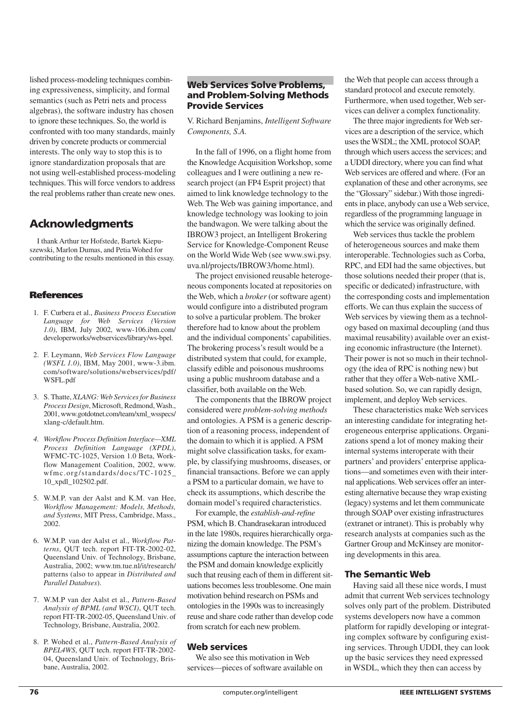lished process-modeling techniques combining expressiveness, simplicity, and formal semantics (such as Petri nets and process algebras), the software industry has chosen to ignore these techniques. So, the world is confronted with too many standards, mainly driven by concrete products or commercial interests. The only way to stop this is to ignore standardization proposals that are not using well-established process-modeling techniques. This will force vendors to address the real problems rather than create new ones.

### **Acknowledgments**

I thank Arthur ter Hofstede, Bartek Kiepuszewski, Marlon Dumas, and Petia Wohed for contributing to the results mentioned in this essay.

#### **References**

- 1. F. Curbera et al., *Business Process Execution Language for Web Services (Version 1.0)*, IBM, July 2002, www-106.ibm.com/ developerworks/webservices/library/ws-bpel.
- 2. F. Leymann, *Web Services Flow Language (WSFL 1.0)*, IBM, May 2001, www-3.ibm. com/software/solutions/webservices/pdf/ WSFL.pdf
- 3. S. Thatte, *XLANG: Web Services for Business Process Design*, Microsoft, Redmond, Wash., 2001, www.gotdotnet.com/team/xml\_wsspecs/ xlang-c/default.htm.
- *4. Workflow Process Definition Interface—XML Process Definition Language (XPDL)*, WFMC-TC-1025, Version 1.0 Beta, Workflow Management Coalition, 2002, www. wfmc.org/standards/docs/TC-1025\_ 10\_xpdl\_102502.pdf.
- 5. W.M.P. van der Aalst and K.M. van Hee, *Workflow Management: Models, Methods, and Systems*, MIT Press, Cambridge, Mass., 2002.
- 6. W.M.P. van der Aalst et al., *Workflow Patterns*, QUT tech. report FIT-TR-2002-02, Queensland Univ. of Technology, Brisbane, Australia, 2002; www.tm.tue.nl/it/research/ patterns (also to appear in *Distributed and Parallel Databses*).
- 7. W.M.P van der Aalst et al., *Pattern-Based Analysis of BPML (and WSCI)*, QUT tech. report FIT-TR-2002-05, Queensland Univ. of Technology, Brisbane, Australia, 2002.
- 8. P. Wohed et al., *Pattern-Based Analysis of BPEL4WS*, QUT tech. report FIT-TR-2002- 04, Queensland Univ. of Technology, Brisbane, Australia, 2002.

#### **Web Services Solve Problems, and Problem-Solving Methods Provide Services**

V. Richard Benjamins, *Intelligent Software Components, S.A.*

In the fall of 1996, on a flight home from the Knowledge Acquisition Workshop, some colleagues and I were outlining a new research project (an FP4 Esprit project) that aimed to link knowledge technology to the Web. The Web was gaining importance, and knowledge technology was looking to join the bandwagon. We were talking about the IBROW3 project, an Intelligent Brokering Service for Knowledge-Component Reuse on the World Wide Web (see www.swi.psy. uva.nl/projects/IBROW3/home.html).

The project envisioned reusable heterogeneous components located at repositories on the Web, which a *broker* (or software agent) would configure into a distributed program to solve a particular problem. The broker therefore had to know about the problem and the individual components' capabilities. The brokering process's result would be a distributed system that could, for example, classify edible and poisonous mushrooms using a public mushroom database and a classifier, both available on the Web.

The components that the IBROW project considered were *problem-solving methods* and ontologies. A PSM is a generic description of a reasoning process, independent of the domain to which it is applied. A PSM might solve classification tasks, for example, by classifying mushrooms, diseases, or financial transactions. Before we can apply a PSM to a particular domain, we have to check its assumptions, which describe the domain model's required characteristics.

For example, the *establish-and-refine* PSM, which B. Chandrasekaran introduced in the late 1980s, requires hierarchically organizing the domain knowledge. The PSM's assumptions capture the interaction between the PSM and domain knowledge explicitly such that reusing each of them in different situations becomes less troublesome. One main motivation behind research on PSMs and ontologies in the 1990s was to increasingly reuse and share code rather than develop code from scratch for each new problem.

#### **Web services**

We also see this motivation in Web services—pieces of software available on the Web that people can access through a standard protocol and execute remotely. Furthermore, when used together, Web services can deliver a complex functionality.

The three major ingredients for Web services are a description of the service, which uses the WSDL; the XML protocol SOAP, through which users access the services; and a UDDI directory, where you can find what Web services are offered and where. (For an explanation of these and other acronyms, see the "Glossary" sidebar.) With those ingredients in place, anybody can use a Web service, regardless of the programming language in which the service was originally defined.

Web services thus tackle the problem of heterogeneous sources and make them interoperable. Technologies such as Corba, RPC, and EDI had the same objectives, but those solutions needed their proper (that is, specific or dedicated) infrastructure, with the corresponding costs and implementation efforts. We can thus explain the success of Web services by viewing them as a technology based on maximal decoupling (and thus maximal reusability) available over an existing economic infrastructure (the Internet). Their power is not so much in their technology (the idea of RPC is nothing new) but rather that they offer a Web-native XMLbased solution. So, we can rapidly design, implement, and deploy Web services.

These characteristics make Web services an interesting candidate for integrating heterogeneous enterprise applications. Organizations spend a lot of money making their internal systems interoperate with their partners' and providers' enterprise applications—and sometimes even with their internal applications. Web services offer an interesting alternative because they wrap existing (legacy) systems and let them communicate through SOAP over existing infrastructures (extranet or intranet). This is probably why research analysts at companies such as the Gartner Group and McKinsey are monitoring developments in this area.

#### **The Semantic Web**

Having said all these nice words, I must admit that current Web services technology solves only part of the problem. Distributed systems developers now have a common platform for rapidly developing or integrating complex software by configuring existing services. Through UDDI, they can look up the basic services they need expressed in WSDL, which they then can access by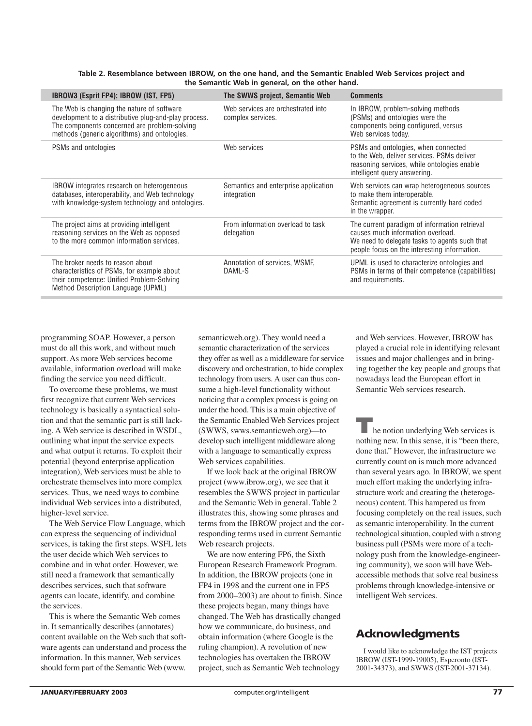#### **Table 2. Resemblance between IBROW, on the one hand, and the Semantic Enabled Web Services project and the Semantic Web in general, on the other hand.**

| IBROW3 (Esprit FP4); IBROW (IST, FP5)                                                                                                                                                              | The SWWS project, Semantic Web                          | <b>Comments</b>                                                                                                                                                                     |
|----------------------------------------------------------------------------------------------------------------------------------------------------------------------------------------------------|---------------------------------------------------------|-------------------------------------------------------------------------------------------------------------------------------------------------------------------------------------|
| The Web is changing the nature of software<br>development to a distributive plug-and-play process.<br>The components concerned are problem-solving<br>methods (generic algorithms) and ontologies. | Web services are orchestrated into<br>complex services. | In IBROW, problem-solving methods<br>(PSMs) and ontologies were the<br>components being configured, versus<br>Web services today.                                                   |
| PSMs and ontologies                                                                                                                                                                                | Web services                                            | PSMs and ontologies, when connected<br>to the Web, deliver services. PSMs deliver<br>reasoning services, while ontologies enable<br>intelligent query answering.                    |
| <b>IBROW</b> integrates research on heterogeneous<br>databases, interoperability, and Web technology<br>with knowledge-system technology and ontologies.                                           | Semantics and enterprise application<br>integration     | Web services can wrap heterogeneous sources<br>to make them interoperable.<br>Semantic agreement is currently hard coded<br>in the wrapper.                                         |
| The project aims at providing intelligent<br>reasoning services on the Web as opposed<br>to the more common information services.                                                                  | From information overload to task<br>delegation         | The current paradigm of information retrieval<br>causes much information overload.<br>We need to delegate tasks to agents such that<br>people focus on the interesting information. |
| The broker needs to reason about<br>characteristics of PSMs, for example about<br>their competence: Unified Problem-Solving<br>Method Description Language (UPML)                                  | Annotation of services, WSMF,<br>DAML-S                 | UPML is used to characterize ontologies and<br>PSMs in terms of their competence (capabilities)<br>and requirements.                                                                |

programming SOAP. However, a person must do all this work, and without much support. As more Web services become available, information overload will make finding the service you need difficult.

To overcome these problems, we must first recognize that current Web services technology is basically a syntactical solution and that the semantic part is still lacking. A Web service is described in WSDL, outlining what input the service expects and what output it returns. To exploit their potential (beyond enterprise application integration), Web services must be able to orchestrate themselves into more complex services. Thus, we need ways to combine individual Web services into a distributed, higher-level service.

The Web Service Flow Language, which can express the sequencing of individual services, is taking the first steps. WSFL lets the user decide which Web services to combine and in what order. However, we still need a framework that semantically describes services, such that software agents can locate, identify, and combine the services.

This is where the Semantic Web comes in. It semantically describes (annotates) content available on the Web such that software agents can understand and process the information. In this manner, Web services should form part of the Semantic Web (www.

semanticweb.org). They would need a semantic characterization of the services they offer as well as a middleware for service discovery and orchestration, to hide complex technology from users. A user can thus consume a high-level functionality without noticing that a complex process is going on under the hood. This is a main objective of the Semantic Enabled Web Services project (SWWS, swws.semanticweb.org)—to develop such intelligent middleware along with a language to semantically express Web services capabilities.

If we look back at the original IBROW project (www.ibrow.org), we see that it resembles the SWWS project in particular and the Semantic Web in general. Table 2 illustrates this, showing some phrases and terms from the IBROW project and the corresponding terms used in current Semantic Web research projects.

We are now entering FP6, the Sixth European Research Framework Program. In addition, the IBROW projects (one in FP4 in 1998 and the current one in FP5 from 2000–2003) are about to finish. Since these projects began, many things have changed. The Web has drastically changed how we communicate, do business, and obtain information (where Google is the ruling champion). A revolution of new technologies has overtaken the IBROW project, such as Semantic Web technology

and Web services. However, IBROW has played a crucial role in identifying relevant issues and major challenges and in bringing together the key people and groups that nowadays lead the European effort in Semantic Web services research.

**T**he notion underlying Web services is nothing new. In this sense, it is "been there, done that." However, the infrastructure we currently count on is much more advanced than several years ago. In IBROW, we spent much effort making the underlying infrastructure work and creating the (heterogeneous) content. This hampered us from focusing completely on the real issues, such as semantic interoperability. In the current technological situation, coupled with a strong business pull (PSMs were more of a technology push from the knowledge-engineering community), we soon will have Webaccessible methods that solve real business problems through knowledge-intensive or intelligent Web services.

## **Acknowledgments**

I would like to acknowledge the IST projects IBROW (IST-1999-19005), Esperonto (IST-2001-34373), and SWWS (IST-2001-37134).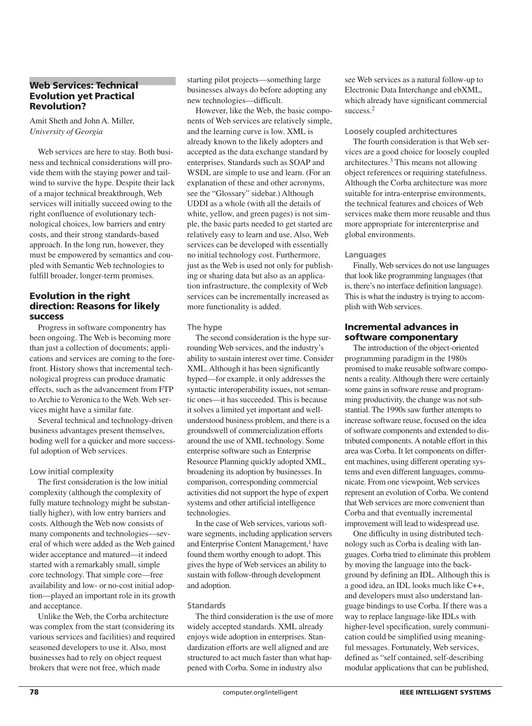#### **Web Services: Technical Evolution yet Practical Revolution?**

Amit Sheth and John A. Miller, *University of Georgia*

Web services are here to stay. Both business and technical considerations will provide them with the staying power and tailwind to survive the hype. Despite their lack of a major technical breakthrough, Web services will initially succeed owing to the right confluence of evolutionary technological choices, low barriers and entry costs, and their strong standards-based approach. In the long run, however, they must be empowered by semantics and coupled with Semantic Web technologies to fulfill broader, longer-term promises.

#### **Evolution in the right direction: Reasons for likely success**

Progress in software componentry has been ongoing. The Web is becoming more than just a collection of documents; applications and services are coming to the forefront. History shows that incremental technological progress can produce dramatic effects, such as the advancement from FTP to Archie to Veronica to the Web. Web services might have a similar fate.

Several technical and technology-driven business advantages present themselves, boding well for a quicker and more successful adoption of Web services.

#### **Low initial complexity**

The first consideration is the low initial complexity (although the complexity of fully mature technology might be substantially higher), with low entry barriers and costs. Although the Web now consists of many components and technologies—several of which were added as the Web gained wider acceptance and matured—it indeed started with a remarkably small, simple core technology. That simple core—free availability and low- or no-cost initial adoption—played an important role in its growth and acceptance.

Unlike the Web, the Corba architecture was complex from the start (considering its various services and facilities) and required seasoned developers to use it. Also, most businesses had to rely on object request brokers that were not free, which made

starting pilot projects—something large businesses always do before adopting any new technologies—difficult.

However, like the Web, the basic components of Web services are relatively simple, and the learning curve is low. XML is already known to the likely adopters and accepted as the data exchange standard by enterprises. Standards such as SOAP and WSDL are simple to use and learn. (For an explanation of these and other acronyms, see the "Glossary" sidebar.) Although UDDI as a whole (with all the details of white, yellow, and green pages) is not simple, the basic parts needed to get started are relatively easy to learn and use. Also, Web services can be developed with essentially no initial technology cost. Furthermore, just as the Web is used not only for publishing or sharing data but also as an application infrastructure, the complexity of Web services can be incrementally increased as more functionality is added.

#### **The hype**

The second consideration is the hype surrounding Web services, and the industry's ability to sustain interest over time. Consider XML. Although it has been significantly hyped—for example, it only addresses the syntactic interoperability issues, not semantic ones—it has succeeded. This is because it solves a limited yet important and wellunderstood business problem, and there is a groundswell of commercialization efforts around the use of XML technology. Some enterprise software such as Enterprise Resource Planning quickly adopted XML, broadening its adoption by businesses. In comparison, corresponding commercial activities did not support the hype of expert systems and other artificial intelligence technologies.

In the case of Web services, various software segments, including application servers and Enterprise Content Management,<sup>1</sup> have found them worthy enough to adopt. This gives the hype of Web services an ability to sustain with follow-through development and adoption.

#### **Standards**

The third consideration is the use of more widely accepted standards. XML already enjoys wide adoption in enterprises. Standardization efforts are well aligned and are structured to act much faster than what happened with Corba. Some in industry also

see Web services as a natural follow-up to Electronic Data Interchange and ebXML, which already have significant commercial success.<sup>2</sup>

#### **Loosely coupled architectures**

The fourth consideration is that Web services are a good choice for loosely coupled architectures.3 This means not allowing object references or requiring statefulness. Although the Corba architecture was more suitable for intra-enterprise environments, the technical features and choices of Web services make them more reusable and thus more appropriate for interenterprise and global environments.

#### **Languages**

Finally, Web services do not use languages that look like programming languages (that is, there's no interface definition language). This is what the industry is trying to accomplish with Web services.

#### **Incremental advances in software componentary**

The introduction of the object-oriented programming paradigm in the 1980s promised to make reusable software components a reality. Although there were certainly some gains in software reuse and programming productivity, the change was not substantial. The 1990s saw further attempts to increase software reuse, focused on the idea of software components and extended to distributed components. A notable effort in this area was Corba. It let components on different machines, using different operating systems and even different languages, communicate. From one viewpoint, Web services represent an evolution of Corba. We contend that Web services are more convenient than Corba and that eventually incremental improvement will lead to widespread use.

One difficulty in using distributed technology such as Corba is dealing with languages. Corba tried to eliminate this problem by moving the language into the background by defining an IDL. Although this is a good idea, an IDL looks much like C++, and developers must also understand language bindings to use Corba. If there was a way to replace language-like IDLs with higher-level specification, surely communication could be simplified using meaningful messages. Fortunately, Web services, defined as "self contained, self-describing modular applications that can be published,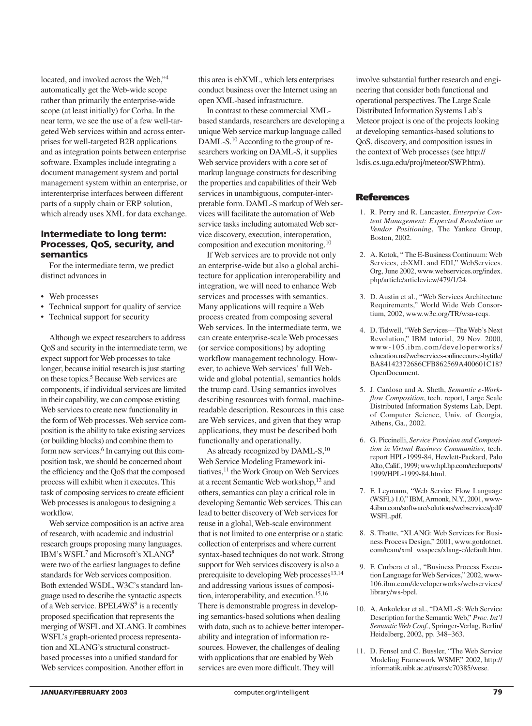located, and invoked across the Web,"4 automatically get the Web-wide scope rather than primarily the enterprise-wide scope (at least initially) for Corba. In the near term, we see the use of a few well-targeted Web services within and across enterprises for well-targeted B2B applications and as integration points between enterprise software. Examples include integrating a document management system and portal management system within an enterprise, or interenterprise interfaces between different parts of a supply chain or ERP solution, which already uses XML for data exchange.

#### **Intermediate to long term: Processes, QoS, security, and semantics**

For the intermediate term, we predict distinct advances in

- Web processes
- Technical support for quality of service
- Technical support for security

Although we expect researchers to address QoS and security in the intermediate term, we expect support for Web processes to take longer, because initial research is just starting on these topics.<sup>5</sup> Because Web services are components, if individual services are limited in their capability, we can compose existing Web services to create new functionality in the form of Web processes. Web service composition is the ability to take existing services (or building blocks) and combine them to form new services.<sup>6</sup> In carrying out this composition task, we should be concerned about the efficiency and the QoS that the composed process will exhibit when it executes. This task of composing services to create efficient Web processes is analogous to designing a workflow.

Web service composition is an active area of research, with academic and industrial research groups proposing many languages. IBM's WSFL<sup>7</sup> and Microsoft's XLANG<sup>8</sup> were two of the earliest languages to define standards for Web services composition. Both extended WSDL, W3C's standard language used to describe the syntactic aspects of a Web service. BPEL4WS<sup>9</sup> is a recently proposed specification that represents the merging of WSFL and XLANG. It combines WSFL's graph-oriented process representation and XLANG's structural constructbased processes into a unified standard for Web services composition. Another effort in

this area is ebXML, which lets enterprises conduct business over the Internet using an open XML-based infrastructure.

In contrast to these commercial XMLbased standards, researchers are developing a unique Web service markup language called DAML-S.<sup>10</sup> According to the group of researchers working on DAML-S, it supplies Web service providers with a core set of markup language constructs for describing the properties and capabilities of their Web services in unambiguous, computer-interpretable form. DAML-S markup of Web services will facilitate the automation of Web service tasks including automated Web service discovery, execution, interoperation, composition and execution monitoring.10

If Web services are to provide not only an enterprise-wide but also a global architecture for application interoperability and integration, we will need to enhance Web services and processes with semantics. Many applications will require a Web process created from composing several Web services. In the intermediate term, we can create enterprise-scale Web processes (or service compositions) by adopting workflow management technology. However, to achieve Web services' full Webwide and global potential, semantics holds the trump card. Using semantics involves describing resources with formal, machinereadable description. Resources in this case are Web services, and given that they wrap applications, they must be described both functionally and operationally.

As already recognized by DAML-S,<sup>10</sup> Web Service Modeling Framework initiatives,<sup>11</sup> the Work Group on Web Services at a recent Semantic Web workshop,12 and others, semantics can play a critical role in developing Semantic Web services. This can lead to better discovery of Web services for reuse in a global, Web-scale environment that is not limited to one enterprise or a static collection of enterprises and where current syntax-based techniques do not work. Strong support for Web services discovery is also a prerequisite to developing Web processes<sup>13,14</sup> and addressing various issues of composition, interoperability, and execution.15,16 There is demonstrable progress in developing semantics-based solutions when dealing with data, such as to achieve better interoperability and integration of information resources. However, the challenges of dealing with applications that are enabled by Web services are even more difficult. They will

involve substantial further research and engineering that consider both functional and operational perspectives. The Large Scale Distributed Information Systems Lab's Meteor project is one of the projects looking at developing semantics-based solutions to QoS, discovery, and composition issues in the context of Web processes (see http:// lsdis.cs.uga.edu/proj/meteor/SWP.htm).

#### **References**

- 1. R. Perry and R. Lancaster, *Enterprise Content Management: Expected Revolution or Vendor Positioning*, The Yankee Group, Boston, 2002.
- 2. A. Kotok, " The E-Business Continuum: Web Services, ebXML and EDI," WebServices. Org, June 2002, www.webservices.org/index. php/article/articleview/479/1/24.
- 3. D. Austin et al., "Web Services Architecture Requirements," World Wide Web Consortium, 2002, www.w3c.org/TR/wsa-reqs.
- 4. D. Tidwell, "Web Services—The Web's Next Revolution," IBM tutorial, 29 Nov. 2000, www-105.ibm.com/developerworks/ education.nsf/webservices-onlinecourse-bytitle/ BA84142372686CFB862569A400601C18? OpenDocument.
- 5. J. Cardoso and A. Sheth, *Semantic e-Workflow Composition*, tech. report, Large Scale Distributed Information Systems Lab, Dept. of Computer Science, Univ. of Georgia, Athens, Ga., 2002.
- 6. G. Piccinelli, *Service Provision and Composition in Virtual Business Communities*, tech. report HPL-1999-84, Hewlett-Packard, Palo Alto, Calif., 1999; www.hpl.hp.com/techreports/ 1999/HPL-1999-84.html.
- 7. F. Leymann, "Web Service Flow Language (WSFL) 1.0," IBM,Armonk, N.Y., 2001, www-4.ibm.com/software/solutions/webservices/pdf/ WSFL.pdf.
- 8. S. Thatte, "XLANG: Web Services for Business Process Design," 2001, www.gotdotnet. com/team/xml\_wsspecs/xlang-c/default.htm.
- 9. F. Curbera et al., "Business Process Execution Language for Web Services," 2002, www-106.ibm.com/developerworks/webservices/ library/ws-bpel.
- 10. A. Ankolekar et al., "DAML-S: Web Service Description for the Semantic Web," *Proc. Int'l Semantic Web Conf.*, Springer-Verlag, Berlin/ Heidelberg, 2002, pp. 348–363.
- 11. D. Fensel and C. Bussler, "The Web Service Modeling Framework WSMF," 2002, http:// informatik.uibk.ac.at/users/c70385/wese.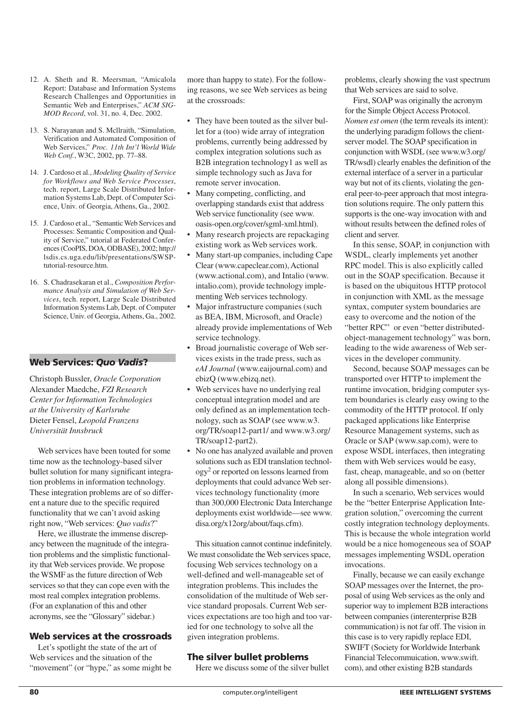- 12. A. Sheth and R. Meersman, "Amicalola Report: Database and Information Systems Research Challenges and Opportunities in Semantic Web and Enterprises," *ACM SIG-MOD Record*, vol. 31, no. 4, Dec. 2002.
- 13. S. Narayanan and S. Mcllraith, "Simulation, Verification and Automated Composition of Web Services," *Proc. 11th Int'l World Wide Web Conf.*, W3C, 2002, pp. 77–88.
- 14. J. Cardoso et al., *Modeling Quality of Service for Workflows and Web Service Processes*, tech. report, Large Scale Distributed Information Systems Lab, Dept. of Computer Science, Univ. of Georgia, Athens, Ga., 2002.
- 15. J. Cardoso et al., "Semantic Web Services and Processes: Semantic Composition and Quality of Service," tutorial at Federated Conferences (CooPIS, DOA, ODBASE), 2002; http:// lsdis.cs.uga.edu/lib/presentations/SWSPtutorial-resource.htm.
- 16. S. Chadrasekaran et al., *Composition Performance Analysis and Simulation of Web Services*, tech. report, Large Scale Distributed Information Systems Lab, Dept. of Computer Science, Univ. of Georgia, Athens, Ga., 2002.

#### **Web Services:** *Quo Vadis***?**

Christoph Bussler, *Oracle Corporation* Alexander Maedche, *FZI Research Center for Information Technologies at the University of Karlsruhe* Dieter Fensel, *Leopold Franzens Universität Innsbruck*

Web services have been touted for some time now as the technology-based silver bullet solution for many significant integration problems in information technology. These integration problems are of so different a nature due to the specific required functionality that we can't avoid asking right now, "Web services: *Quo vadis*?"

Here, we illustrate the immense discrepancy between the magnitude of the integration problems and the simplistic functionality that Web services provide. We propose the WSMF as the future direction of Web services so that they can cope even with the most real complex integration problems. (For an explanation of this and other acronyms, see the "Glossary" sidebar.)

#### **Web services at the crossroads**

Let's spotlight the state of the art of Web services and the situation of the "movement" (or "hype," as some might be more than happy to state). For the following reasons, we see Web services as being at the crossroads:

- They have been touted as the silver bullet for a (too) wide array of integration problems, currently being addressed by complex integration solutions such as B2B integration technology1 as well as simple technology such as Java for remote server invocation.
- Many competing, conflicting, and overlapping standards exist that address Web service functionality (see www. oasis-open.org/cover/sgml-xml.html).
- Many research projects are repackaging existing work as Web services work.
- Many start-up companies, including Cape Clear (www.capeclear.com), Actional (www.actional.com), and Intalio (www. intalio.com), provide technology implementing Web services technology.
- Major infrastructure companies (such as BEA, IBM, Microsoft, and Oracle) already provide implementations of Web service technology.
- Broad journalistic coverage of Web services exists in the trade press, such as *eAI Journal* (www.eaijournal.com) and ebizQ (www.ebizq.net).
- Web services have no underlying real conceptual integration model and are only defined as an implementation technology, such as SOAP (see www.w3. org/TR/soap12-part1/ and www.w3.org/ TR/soap12-part2).
- No one has analyzed available and proven solutions such as EDI translation technology2 or reported on lessons learned from deployments that could advance Web services technology functionality (more than 300,000 Electronic Data Interchange deployments exist worldwide—see www. disa.org/x12org/about/faqs.cfm).

This situation cannot continue indefinitely. We must consolidate the Web services space, focusing Web services technology on a well-defined and well-manageable set of integration problems. This includes the consolidation of the multitude of Web service standard proposals. Current Web services expectations are too high and too varied for one technology to solve all the given integration problems.

#### **The silver bullet problems**

Here we discuss some of the silver bullet

problems, clearly showing the vast spectrum that Web services are said to solve.

First, SOAP was originally the acronym for the Simple Object Access Protocol. *Nomen est omen* (the term reveals its intent): the underlying paradigm follows the clientserver model. The SOAP specification in conjunction with WSDL (see www.w3.org/ TR/wsdl) clearly enables the definition of the external interface of a server in a particular way but not of its clients, violating the general peer-to-peer approach that most integration solutions require. The only pattern this supports is the one-way invocation with and without results between the defined roles of client and server.

In this sense, SOAP, in conjunction with WSDL, clearly implements yet another RPC model. This is also explicitly called out in the SOAP specification. Because it is based on the ubiquitous HTTP protocol in conjunction with XML as the message syntax, computer system boundaries are easy to overcome and the notion of the "better RPC" or even "better distributedobject-management technology" was born, leading to the wide awareness of Web services in the developer community.

Second, because SOAP messages can be transported over HTTP to implement the runtime invocation, bridging computer system boundaries is clearly easy owing to the commodity of the HTTP protocol. If only packaged applications like Enterprise Resource Management systems, such as Oracle or SAP (www.sap.com), were to expose WSDL interfaces, then integrating them with Web services would be easy, fast, cheap, manageable, and so on (better along all possible dimensions).

In such a scenario, Web services would be the "better Enterprise Application Integration solution," overcoming the current costly integration technology deployments. This is because the whole integration world would be a nice homogeneous sea of SOAP messages implementing WSDL operation invocations.

Finally, because we can easily exchange SOAP messages over the Internet, the proposal of using Web services as the only and superior way to implement B2B interactions between companies (interenterprise B2B communication) is not far off. The vision in this case is to very rapidly replace EDI, SWIFT (Society for Worldwide Interbank Financial Telecommuication, www.swift. com), and other existing B2B standards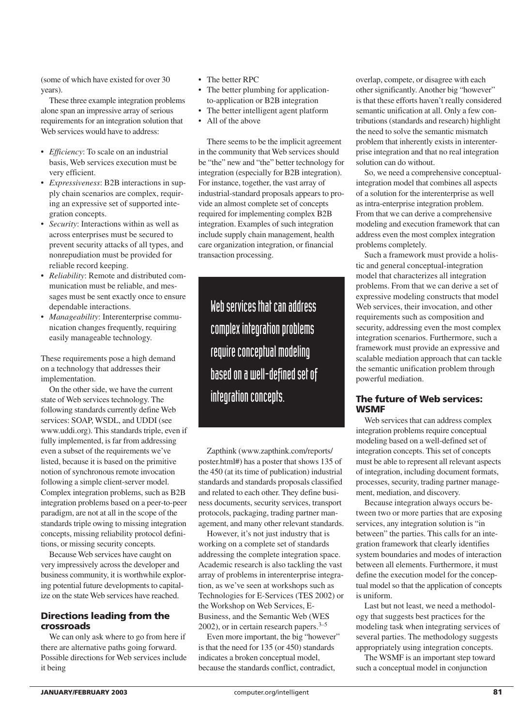(some of which have existed for over 30 years).

These three example integration problems alone span an impressive array of serious requirements for an integration solution that Web services would have to address:

- *Efficiency*: To scale on an industrial basis, Web services execution must be very efficient.
- *Expressiveness*: B2B interactions in supply chain scenarios are complex, requiring an expressive set of supported integration concepts.
- *Security*: Interactions within as well as across enterprises must be secured to prevent security attacks of all types, and nonrepudiation must be provided for reliable record keeping.
- *Reliability*: Remote and distributed communication must be reliable, and messages must be sent exactly once to ensure dependable interactions.
- *Manageability*: Interenterprise communication changes frequently, requiring easily manageable technology.

These requirements pose a high demand on a technology that addresses their implementation.

On the other side, we have the current state of Web services technology. The following standards currently define Web services: SOAP, WSDL, and UDDI (see www.uddi.org). This standards triple, even if fully implemented, is far from addressing even a subset of the requirements we've listed, because it is based on the primitive notion of synchronous remote invocation following a simple client-server model. Complex integration problems, such as B2B integration problems based on a peer-to-peer paradigm, are not at all in the scope of the standards triple owing to missing integration concepts, missing reliability protocol definitions, or missing security concepts.

Because Web services have caught on very impressively across the developer and business community, it is worthwhile exploring potential future developments to capitalize on the state Web services have reached.

#### **Directions leading from the crossroads**

We can only ask where to go from here if there are alternative paths going forward. Possible directions for Web services include it being

- The better RPC
- The better plumbing for applicationto-application or B2B integration
- The better intelligent agent platform
- All of the above

There seems to be the implicit agreement in the community that Web services should be "the" new and "the" better technology for integration (especially for B2B integration). For instance, together, the vast array of industrial-standard proposals appears to provide an almost complete set of concepts required for implementing complex B2B integration. Examples of such integration include supply chain management, health care organization integration, or financial transaction processing.

Web services that can address complex integration problems require conceptual modeling based on a well-defined set of integration concepts.

Zapthink (www.zapthink.com/reports/ poster.html#) has a poster that shows 135 of the 450 (at its time of publication) industrial standards and standards proposals classified and related to each other. They define business documents, security services, transport protocols, packaging, trading partner management, and many other relevant standards.

However, it's not just industry that is working on a complete set of standards addressing the complete integration space. Academic research is also tackling the vast array of problems in interenterprise integration, as we've seen at workshops such as Technologies for E-Services (TES 2002) or the Workshop on Web Services, E-Business, and the Semantic Web (WES  $2002$ ), or in certain research papers.<sup>3–5</sup>

Even more important, the big "however" is that the need for 135 (or 450) standards indicates a broken conceptual model, because the standards conflict, contradict,

overlap, compete, or disagree with each other significantly. Another big "however" is that these efforts haven't really considered semantic unification at all. Only a few contributions (standards and research) highlight the need to solve the semantic mismatch problem that inherently exists in interenterprise integration and that no real integration solution can do without.

So, we need a comprehensive conceptualintegration model that combines all aspects of a solution for the interenterprise as well as intra-enterprise integration problem. From that we can derive a comprehensive modeling and execution framework that can address even the most complex integration problems completely.

Such a framework must provide a holistic and general conceptual-integration model that characterizes all integration problems. From that we can derive a set of expressive modeling constructs that model Web services, their invocation, and other requirements such as composition and security, addressing even the most complex integration scenarios. Furthermore, such a framework must provide an expressive and scalable mediation approach that can tackle the semantic unification problem through powerful mediation.

#### **The future of Web services: WSMF**

Web services that can address complex integration problems require conceptual modeling based on a well-defined set of integration concepts. This set of concepts must be able to represent all relevant aspects of integration, including document formats, processes, security, trading partner management, mediation, and discovery.

Because integration always occurs between two or more parties that are exposing services, any integration solution is "in between" the parties. This calls for an integration framework that clearly identifies system boundaries and modes of interaction between all elements. Furthermore, it must define the execution model for the conceptual model so that the application of concepts is uniform.

Last but not least, we need a methodology that suggests best practices for the modeling task when integrating services of several parties. The methodology suggests appropriately using integration concepts.

The WSMF is an important step toward such a conceptual model in conjunction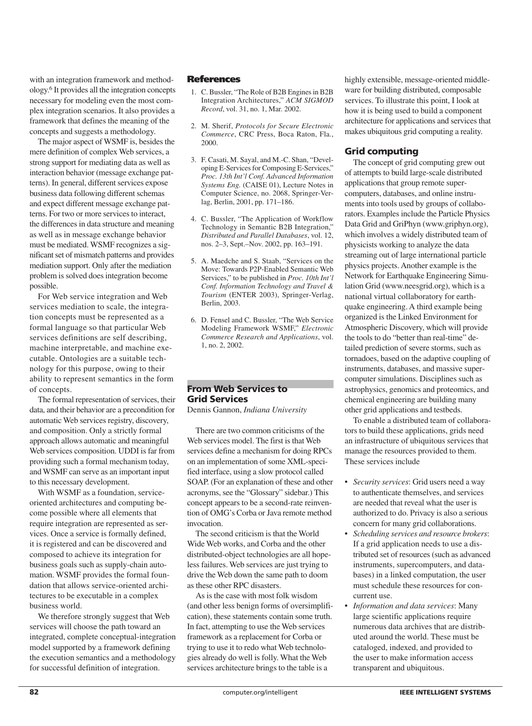with an integration framework and methodology.6 It provides all the integration concepts necessary for modeling even the most complex integration scenarios. It also provides a framework that defines the meaning of the concepts and suggests a methodology.

The major aspect of WSMF is, besides the mere definition of complex Web services, a strong support for mediating data as well as interaction behavior (message exchange patterns). In general, different services expose business data following different schemas and expect different message exchange patterns. For two or more services to interact, the differences in data structure and meaning as well as in message exchange behavior must be mediated. WSMF recognizes a significant set of mismatch patterns and provides mediation support. Only after the mediation problem is solved does integration become possible.

For Web service integration and Web services mediation to scale, the integration concepts must be represented as a formal language so that particular Web services definitions are self describing, machine interpretable, and machine executable. Ontologies are a suitable technology for this purpose, owing to their ability to represent semantics in the form of concepts.

The formal representation of services, their data, and their behavior are a precondition for automatic Web services registry, discovery, and composition. Only a strictly formal approach allows automatic and meaningful Web services composition. UDDI is far from providing such a formal mechanism today, and WSMF can serve as an important input to this necessary development.

With WSMF as a foundation, serviceoriented architectures and computing become possible where all elements that require integration are represented as services. Once a service is formally defined, it is registered and can be discovered and composed to achieve its integration for business goals such as supply-chain automation. WSMF provides the formal foundation that allows service-oriented architectures to be executable in a complex business world.

We therefore strongly suggest that Web services will choose the path toward an integrated, complete conceptual-integration model supported by a framework defining the execution semantics and a methodology for successful definition of integration.

#### **References**

- 1. C. Bussler, "The Role of B2B Engines in B2B Integration Architectures," *ACM SIGMOD Record*, vol. 31, no. 1, Mar. 2002.
- 2. M. Sherif, *Protocols for Secure Electronic Commerce*, CRC Press, Boca Raton, Fla., 2000.
- 3. F. Casati, M. Sayal, and M.-C. Shan, "Developing E-Services for Composing E-Services," *Proc. 13th Int'l Conf. Advanced Information Systems Eng.* (CAISE 01), Lecture Notes in Computer Science, no. 2068, Springer-Verlag, Berlin, 2001, pp. 171–186.
- 4. C. Bussler, "The Application of Workflow Technology in Semantic B2B Integration," *Distributed and Parallel Databases*, vol. 12, nos. 2–3, Sept.–Nov. 2002, pp. 163–191.
- 5. A. Maedche and S. Staab, "Services on the Move: Towards P2P-Enabled Semantic Web Services," to be published in *Proc. 10th Int'l Conf. Information Technology and Travel & Tourism* (ENTER 2003), Springer-Verlag, Berlin, 2003.
- 6. D. Fensel and C. Bussler, "The Web Service Modeling Framework WSMF," *Electronic Commerce Research and Applications*, vol. 1, no. 2, 2002.

### **From Web Services to Grid Services**

Dennis Gannon, *Indiana University*

There are two common criticisms of the Web services model. The first is that Web services define a mechanism for doing RPCs on an implementation of some XML-specified interface, using a slow protocol called SOAP. (For an explanation of these and other acronyms, see the "Glossary" sidebar.) This concept appears to be a second-rate reinvention of OMG's Corba or Java remote method invocation.

The second criticism is that the World Wide Web works, and Corba and the other distributed-object technologies are all hopeless failures. Web services are just trying to drive the Web down the same path to doom as these other RPC disasters.

As is the case with most folk wisdom (and other less benign forms of oversimplification), these statements contain some truth. In fact, attempting to use the Web services framework as a replacement for Corba or trying to use it to redo what Web technologies already do well is folly. What the Web services architecture brings to the table is a

highly extensible, message-oriented middleware for building distributed, composable services. To illustrate this point, I look at how it is being used to build a component architecture for applications and services that makes ubiquitous grid computing a reality.

#### **Grid computing**

The concept of grid computing grew out of attempts to build large-scale distributed applications that group remote supercomputers, databases, and online instruments into tools used by groups of collaborators. Examples include the Particle Physics Data Grid and GriPhyn (www.griphyn.org), which involves a widely distributed team of physicists working to analyze the data streaming out of large international particle physics projects. Another example is the Network for Earthquake Engineering Simulation Grid (www.neesgrid.org), which is a national virtual collaboratory for earthquake engineering. A third example being organized is the Linked Environment for Atmospheric Discovery, which will provide the tools to do "better than real-time" detailed prediction of severe storms, such as tornadoes, based on the adaptive coupling of instruments, databases, and massive supercomputer simulations. Disciplines such as astrophysics, genomics and proteomics, and chemical engineering are building many other grid applications and testbeds.

To enable a distributed team of collaborators to build these applications, grids need an infrastructure of ubiquitous services that manage the resources provided to them. These services include

- *Security services*: Grid users need a way to authenticate themselves, and services are needed that reveal what the user is authorized to do. Privacy is also a serious concern for many grid collaborations.
- *Scheduling services and resource brokers*: If a grid application needs to use a distributed set of resources (such as advanced instruments, supercomputers, and databases) in a linked computation, the user must schedule these resources for concurrent use.
- *Information and data services*: Many large scientific applications require numerous data archives that are distributed around the world. These must be cataloged, indexed, and provided to the user to make information access transparent and ubiquitous.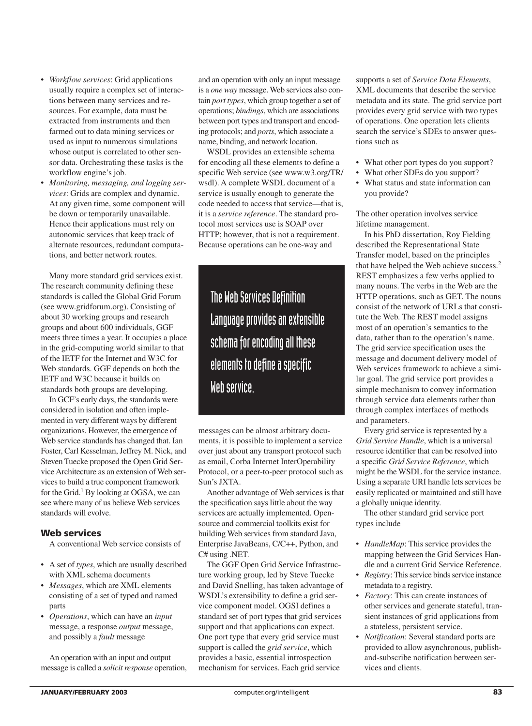- *Workflow services*: Grid applications usually require a complex set of interactions between many services and resources. For example, data must be extracted from instruments and then farmed out to data mining services or used as input to numerous simulations whose output is correlated to other sensor data. Orchestrating these tasks is the workflow engine's job.
- *Monitoring, messaging, and logging services*: Grids are complex and dynamic. At any given time, some component will be down or temporarily unavailable. Hence their applications must rely on autonomic services that keep track of alternate resources, redundant computations, and better network routes.

Many more standard grid services exist. The research community defining these standards is called the Global Grid Forum (see www.gridforum.org). Consisting of about 30 working groups and research groups and about 600 individuals, GGF meets three times a year. It occupies a place in the grid-computing world similar to that of the IETF for the Internet and W3C for Web standards. GGF depends on both the IETF and W3C because it builds on standards both groups are developing.

In GCF's early days, the standards were considered in isolation and often implemented in very different ways by different organizations. However, the emergence of Web service standards has changed that. Ian Foster, Carl Kesselman, Jeffrey M. Nick, and Steven Tuecke proposed the Open Grid Service Architecture as an extension of Web services to build a true component framework for the Grid.<sup>1</sup> By looking at OGSA, we can see where many of us believe Web services standards will evolve.

#### **Web services**

A conventional Web service consists of

- A set of *types*, which are usually described with XML schema documents
- *Messages*, which are XML elements consisting of a set of typed and named parts
- *Operations*, which can have an *input* message, a response *output* message, and possibly a *fault* message

An operation with an input and output message is called a *solicit response* operation,

and an operation with only an input message is a *one way* message. Web services also contain *port types*, which group together a set of operations; *bindings*, which are associations between port types and transport and encoding protocols; and *ports*, which associate a name, binding, and network location.

WSDL provides an extensible schema for encoding all these elements to define a specific Web service (see www.w3.org/TR/ wsdl). A complete WSDL document of a service is usually enough to generate the code needed to access that service—that is, it is a *service reference*. The standard protocol most services use is SOAP over HTTP; however, that is not a requirement. Because operations can be one-way and

The Web Services Definition Language provides an extensible schema for encoding all these elements to define a specific Web service.

messages can be almost arbitrary documents, it is possible to implement a service over just about any transport protocol such as email, Corba Internet InterOperability Protocol, or a peer-to-peer protocol such as Sun's IXTA.

Another advantage of Web services is that the specification says little about the way services are actually implemented. Opensource and commercial toolkits exist for building Web services from standard Java, Enterprise JavaBeans, C/C++, Python, and C# using .NET.

The GGF Open Grid Service Infrastructure working group, led by Steve Tuecke and David Snelling, has taken advantage of WSDL's extensibility to define a grid service component model. OGSI defines a standard set of port types that grid services support and that applications can expect. One port type that every grid service must support is called the *grid service*, which provides a basic, essential introspection mechanism for services. Each grid service

supports a set of *Service Data Elements*, XML documents that describe the service metadata and its state. The grid service port provides every grid service with two types of operations. One operation lets clients search the service's SDEs to answer questions such as

- What other port types do you support?
- What other SDEs do you support?
- What status and state information can you provide?

The other operation involves service lifetime management.

In his PhD dissertation, Roy Fielding described the Representational State Transfer model, based on the principles that have helped the Web achieve success.2 REST emphasizes a few verbs applied to many nouns. The verbs in the Web are the HTTP operations, such as GET. The nouns consist of the network of URLs that constitute the Web. The REST model assigns most of an operation's semantics to the data, rather than to the operation's name. The grid service specification uses the message and document delivery model of Web services framework to achieve a similar goal. The grid service port provides a simple mechanism to convey information through service data elements rather than through complex interfaces of methods and parameters.

Every grid service is represented by a *Grid Service Handle*, which is a universal resource identifier that can be resolved into a specific *Grid Service Reference*, which might be the WSDL for the service instance. Using a separate URI handle lets services be easily replicated or maintained and still have a globally unique identity.

The other standard grid service port types include

- *HandleMap*: This service provides the mapping between the Grid Services Handle and a current Grid Service Reference.
- *Registry*: This service binds service instance metadata to a registry.
- *Factory*: This can create instances of other services and generate stateful, transient instances of grid applications from a stateless, persistent service.
- *Notification*: Several standard ports are provided to allow asynchronous, publishand-subscribe notification between services and clients.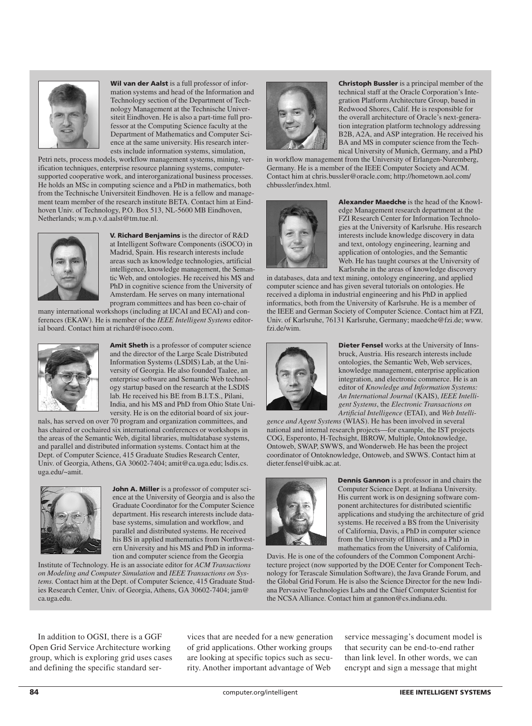

**Wil van der Aalst** is a full professor of information systems and head of the Information and Technology section of the Department of Technology Management at the Technische Universiteit Eindhoven. He is also a part-time full professor at the Computing Science faculty at the Department of Mathematics and Computer Science at the same university. His research interests include information systems, simulation,

Petri nets, process models, workflow management systems, mining, verification techniques, enterprise resource planning systems, computersupported cooperative work, and interorganizational business processes. He holds an MSc in computing science and a PhD in mathematics, both from the Technische Universiteit Eindhoven. He is a fellow and management team member of the research institute BETA. Contact him at Eindhoven Univ. of Technology, P.O. Box 513, NL-5600 MB Eindhoven, Netherlands; w.m.p.v.d.aalst@tm.tue.nl.



**V. Richard Benjamins** is the director of R&D at Intelligent Software Components (iSOCO) in Madrid, Spain. His research interests include areas such as knowledge technologies, artificial intelligence, knowledge management, the Semantic Web, and ontologies. He received his MS and PhD in cognitive science from the University of Amsterdam. He serves on many international program committees and has been co-chair of

many international workshops (including at IJCAI and ECAI) and conferences (EKAW). He is member of the *IEEE Intelligent Systems* editorial board. Contact him at richard@isoco.com.



**Amit Sheth** is a professor of computer science and the director of the Large Scale Distributed Information Systems (LSDIS) Lab, at the University of Georgia. He also founded Taalee, an enterprise software and Semantic Web technology startup based on the research at the LSDIS lab. He received his BE from B.I.T.S., Pilani, India, and his MS and PhD from Ohio State University. He is on the editorial board of six jour-

nals, has served on over 70 program and organization committees, and has chaired or cochaired six international conferences or workshops in the areas of the Semantic Web, digital libraries, multidatabase systems, and parallel and distributed information systems. Contact him at the Dept. of Computer Science, 415 Graduate Studies Research Center, Univ. of Georgia, Athens, GA 30602-7404; amit@ca.uga.edu; lsdis.cs. uga.edu/~amit.



**John A. Miller** is a professor of computer science at the University of Georgia and is also the Graduate Coordinator for the Computer Science department. His research interests include database systems, simulation and workflow, and parallel and distributed systems. He received his BS in applied mathematics from Northwestern University and his MS and PhD in information and computer science from the Georgia

Institute of Technology. He is an associate editor for *ACM Transactions on Modeling and Computer Simulation* and *IEEE Transactions on Systems.* Contact him at the Dept. of Computer Science, 415 Graduate Studies Research Center, Univ. of Georgia, Athens, GA 30602-7404; jam@ ca.uga.edu.



**Christoph Bussler** is a principal member of the technical staff at the Oracle Corporation's Integration Platform Architecture Group, based in Redwood Shores, Calif. He is responsible for the overall architecture of Oracle's next-generation integration platform technology addressing B2B, A2A, and ASP integration. He received his BA and MS in computer science from the Technical University of Munich, Germany, and a PhD

in workflow management from the University of Erlangen-Nuremberg, Germany. He is a member of the IEEE Computer Society and ACM. Contact him at chris.bussler@oracle.com; http://hometown.aol.com/ chbussler/index.html.



**Alexander Maedche** is the head of the Knowledge Management research department at the FZI Research Center for Information Technologies at the University of Karlsruhe. His research interests include knowledge discovery in data and text, ontology engineering, learning and application of ontologies, and the Semantic Web. He has taught courses at the University of Karlsruhe in the areas of knowledge discovery

in databases, data and text mining, ontology engineering, and applied computer science and has given several tutorials on ontologies. He received a diploma in industrial engineering and his PhD in applied informatics, both from the University of Karlsruhe. He is a member of the IEEE and German Society of Computer Science. Contact him at FZI, Univ. of Karlsruhe, 76131 Karlsruhe, Germany; maedche@fzi.de; www. fzi.de/wim.



**Dieter Fensel** works at the University of Innsbruck, Austria. His research interests include ontologies, the Semantic Web, Web services, knowledge management, enterprise application integration, and electronic commerce. He is an editor of *Knowledge and Information Systems: An International Journal* (KAIS), *IEEE Intelligent Systems*, the *Electronic Transactions on Artificial Intelligence* (ETAI), and *Web Intelli-*

*gence and Agent Systems* (WIAS). He has been involved in several national and internal research projects—for example, the IST projects COG, Esperonto, H-Techsight, IBROW, Multiple, Ontoknowledge, Ontoweb, SWAP, SWWS, and Wonderweb. He has been the project coordinator of Ontoknowledge, Ontoweb, and SWWS. Contact him at dieter.fensel@uibk.ac.at.



**Dennis Gannon** is a professor in and chairs the Computer Science Dept. at Indiana University. His current work is on designing software component architectures for distributed scientific applications and studying the architecture of grid systems. He received a BS from the Univerisity of California, Davis, a PhD in computer science from the University of Illinois, and a PhD in mathematics from the University of California,

Davis. He is one of the cofounders of the Common Component Architecture project (now supported by the DOE Center for Component Technology for Terascale Simulation Software), the Java Grande Forum, and the Global Grid Forum. He is also the Science Director for the new Indiana Pervasive Technologies Labs and the Chief Computer Scientist for the NCSA Alliance. Contact him at gannon@cs.indiana.edu.

In addition to OGSI, there is a GGF Open Grid Service Architecture working group, which is exploring grid uses cases and defining the specific standard ser-

vices that are needed for a new generation of grid applications. Other working groups are looking at specific topics such as security. Another important advantage of Web

service messaging's document model is that security can be end-to-end rather than link level. In other words, we can encrypt and sign a message that might